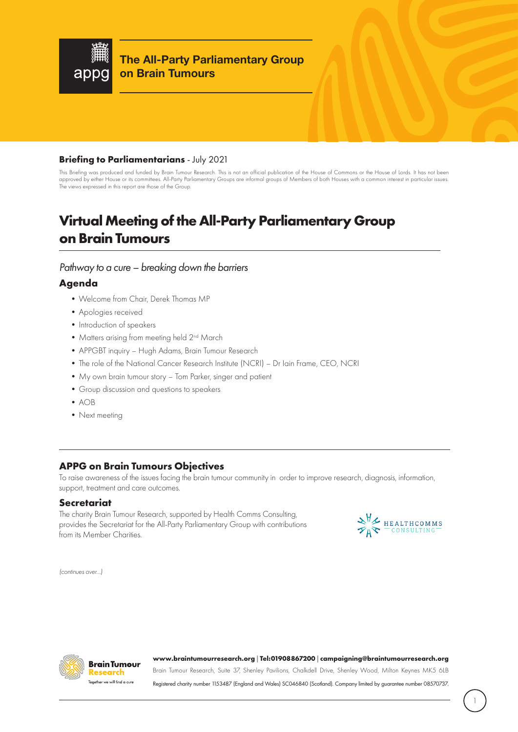

**The All-Party Parliamentary Group on Brain Tumours**

### **Briefing to Parliamentarians** - July 2021

This Briefing was produced and funded by Brain Tumour Research. This is not an official publication of the House of Commons or the House of Lords. It has not been approved by either House or its committees. All-Party Parliamentary Groups are informal groups of Members of both Houses with a common interest in particular issues. The views expressed in this report are those of the Group.

# **Virtual Meeting of the All-Party Parliamentary Group on Brain Tumours**

### *Pathway to a cure – breaking down the barriers*

## **Agenda**

- •Welcome from Chair, Derek Thomas MP
- •Apologies received
- Introduction of speakers
- Matters arising from meeting held 2<sup>nd</sup> March
- •APPGBT inquiry Hugh Adams, Brain Tumour Research
- •The role of the National Cancer Research Institute (NCRI) Dr Iain Frame, CEO, NCRI
- •My own brain tumour story Tom Parker, singer and patient
- •Group discussion and questions to speakers
- •AOB
- Next meeting

# **APPG on Brain Tumours Objectives**

To raise awareness of the issues facing the brain tumour community in order to improve research, diagnosis, information, support, treatment and care outcomes.

### **Secretariat**

The charity Brain Tumour Research, supported by Health Comms Consulting, provides the Secretariat for the All-Party Parliamentary Group with contributions from its Member Charities.



*(continues over...)*



#### **www.braintumourresearch.org | Tel: 01908 867200 | campaigning@braintumourresearch.org**

Brain Tumour Research, Suite 37, Shenley Pavilions, Chalkdell Drive, Shenley Wood, Milton Keynes MK5 6LB Registered charity number 1153487 (England and Wales) SC046840 (Scotland). Company limited by guarantee number 08570737.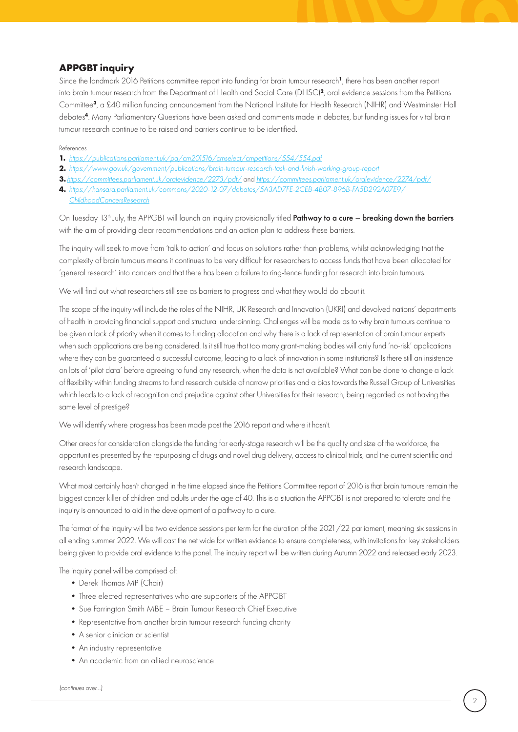# **APPGBT inquiry**

Since the landmark 2016 Petitions committee report into funding for brain tumour research**<sup>1</sup>**, there has been another report into brain tumour research from the Department of Health and Social Care (DHSC)**<sup>2</sup>**, oral evidence sessions from the Petitions Committee**<sup>3</sup>**, a £40 million funding announcement from the National Institute for Health Research (NIHR) and Westminster Hall debates**<sup>4</sup>**. Many Parliamentary Questions have been asked and comments made in debates, but funding issues for vital brain tumour research continue to be raised and barriers continue to be identified.

#### References

- **1.** *https://publications.parliament.uk/pa/cm201516/cmselect/cmpetitions/554/554.pdf*
- **2.** *https://www.gov.uk/government/publications/brain-tumour-research-task-and-finish-working-group-report*
- **3.***https://committees.parliament.uk/oralevidence/2273/pdf/* and *https://committees.parliament.uk/oralevidence/2274/pdf/*
- **4.** *https://hansard.parliament.uk/commons/2020-12-07/debates/5A3AD7FE-2CEB-4B07-896B-FA5D292A07E9/ ChildhoodCancersResearch*

On Tuesday 13<sup>th</sup> July, the APPGBT will launch an inquiry provisionally titled Pathway to a cure – breaking down the barriers with the aim of providing clear recommendations and an action plan to address these barriers.

The inquiry will seek to move from 'talk to action' and focus on solutions rather than problems, whilst acknowledging that the complexity of brain tumours means it continues to be very difficult for researchers to access funds that have been allocated for 'general research' into cancers and that there has been a failure to ring-fence funding for research into brain tumours.

We will find out what researchers still see as barriers to progress and what they would do about it.

The scope of the inquiry will include the roles of the NIHR, UK Research and Innovation (UKRI) and devolved nations' departments of health in providing financial support and structural underpinning. Challenges will be made as to why brain tumours continue to be given a lack of priority when it comes to funding allocation and why there is a lack of representation of brain tumour experts when such applications are being considered. Is it still true that too many grant-making bodies will only fund 'no-risk' applications where they can be guaranteed a successful outcome, leading to a lack of innovation in some institutions? Is there still an insistence on lots of 'pilot data' before agreeing to fund any research, when the data is not available? What can be done to change a lack of flexibility within funding streams to fund research outside of narrow priorities and a bias towards the Russell Group of Universities which leads to a lack of recognition and prejudice against other Universities for their research, being regarded as not having the same level of prestige?

We will identify where progress has been made post the 2016 report and where it hasn't.

Other areas for consideration alongside the funding for early-stage research will be the quality and size of the workforce, the opportunities presented by the repurposing of drugs and novel drug delivery, access to clinical trials, and the current scientific and research landscape.

What most certainly hasn't changed in the time elapsed since the Petitions Committee report of 2016 is that brain tumours remain the biggest cancer killer of children and adults under the age of 40. This is a situation the APPGBT is not prepared to tolerate and the inquiry is announced to aid in the development of a pathway to a cure.

The format of the inquiry will be two evidence sessions per term for the duration of the 2021/22 parliament, meaning six sessions in all ending summer 2022. We will cast the net wide for written evidence to ensure completeness, with invitations for key stakeholders being given to provide oral evidence to the panel. The inquiry report will be written during Autumn 2022 and released early 2023.

The inquiry panel will be comprised of:

- Derek Thomas MP (Chair)
- •Three elected representatives who are supporters of the APPGBT
- •Sue Farrington Smith MBE Brain Tumour Research Chief Executive
- Representative from another brain tumour research funding charity
- A senior clinician or scientist
- •An industry representative
- •An academic from an allied neuroscience

*(continues over...)*